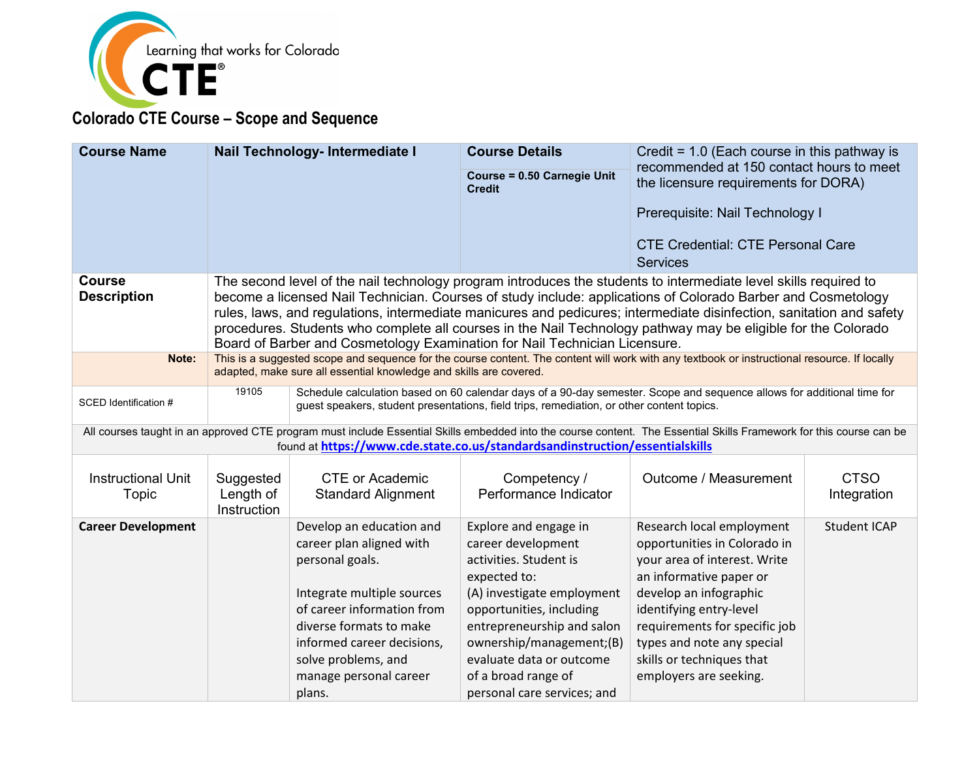

| <b>Course Name</b>                 |                                                                                                                                                                                                                              | Nail Technology- Intermediate I                                                                                                                                                                                    | <b>Course Details</b>                               | Credit = $1.0$ (Each course in this pathway is<br>recommended at 150 contact hours to meet                                                                                                                                            |                            |
|------------------------------------|------------------------------------------------------------------------------------------------------------------------------------------------------------------------------------------------------------------------------|--------------------------------------------------------------------------------------------------------------------------------------------------------------------------------------------------------------------|-----------------------------------------------------|---------------------------------------------------------------------------------------------------------------------------------------------------------------------------------------------------------------------------------------|----------------------------|
|                                    |                                                                                                                                                                                                                              |                                                                                                                                                                                                                    | <b>Course = 0.50 Carnegie Unit</b><br><b>Credit</b> | the licensure requirements for DORA)                                                                                                                                                                                                  |                            |
|                                    |                                                                                                                                                                                                                              |                                                                                                                                                                                                                    |                                                     | Prerequisite: Nail Technology I                                                                                                                                                                                                       |                            |
|                                    |                                                                                                                                                                                                                              |                                                                                                                                                                                                                    |                                                     | <b>CTE Credential: CTE Personal Care</b>                                                                                                                                                                                              |                            |
|                                    |                                                                                                                                                                                                                              |                                                                                                                                                                                                                    |                                                     | <b>Services</b>                                                                                                                                                                                                                       |                            |
| <b>Course</b>                      |                                                                                                                                                                                                                              |                                                                                                                                                                                                                    |                                                     | The second level of the nail technology program introduces the students to intermediate level skills required to                                                                                                                      |                            |
| <b>Description</b>                 |                                                                                                                                                                                                                              |                                                                                                                                                                                                                    |                                                     | become a licensed Nail Technician. Courses of study include: applications of Colorado Barber and Cosmetology                                                                                                                          |                            |
|                                    |                                                                                                                                                                                                                              |                                                                                                                                                                                                                    |                                                     | rules, laws, and regulations, intermediate manicures and pedicures; intermediate disinfection, sanitation and safety<br>procedures. Students who complete all courses in the Nail Technology pathway may be eligible for the Colorado |                            |
|                                    |                                                                                                                                                                                                                              | Board of Barber and Cosmetology Examination for Nail Technician Licensure.                                                                                                                                         |                                                     |                                                                                                                                                                                                                                       |                            |
| Note:                              |                                                                                                                                                                                                                              | This is a suggested scope and sequence for the course content. The content will work with any textbook or instructional resource. If locally<br>adapted, make sure all essential knowledge and skills are covered. |                                                     |                                                                                                                                                                                                                                       |                            |
| SCED Identification #              | Schedule calculation based on 60 calendar days of a 90-day semester. Scope and sequence allows for additional time for<br>19105<br>guest speakers, student presentations, field trips, remediation, or other content topics. |                                                                                                                                                                                                                    |                                                     |                                                                                                                                                                                                                                       |                            |
|                                    |                                                                                                                                                                                                                              | found at https://www.cde.state.co.us/standardsandinstruction/essentialskills                                                                                                                                       |                                                     | All courses taught in an approved CTE program must include Essential Skills embedded into the course content. The Essential Skills Framework for this course can be                                                                   |                            |
| <b>Instructional Unit</b><br>Topic | Suggested<br>Length of<br>Instruction                                                                                                                                                                                        | <b>CTE or Academic</b><br><b>Standard Alignment</b>                                                                                                                                                                | Competency /<br>Performance Indicator               | Outcome / Measurement                                                                                                                                                                                                                 | <b>CTSO</b><br>Integration |
| <b>Career Development</b>          |                                                                                                                                                                                                                              | Develop an education and                                                                                                                                                                                           | Explore and engage in                               | Research local employment                                                                                                                                                                                                             | <b>Student ICAP</b>        |
|                                    |                                                                                                                                                                                                                              | career plan aligned with<br>personal goals.                                                                                                                                                                        | career development<br>activities. Student is        | opportunities in Colorado in<br>your area of interest. Write                                                                                                                                                                          |                            |
|                                    |                                                                                                                                                                                                                              |                                                                                                                                                                                                                    | expected to:                                        | an informative paper or                                                                                                                                                                                                               |                            |
|                                    |                                                                                                                                                                                                                              | Integrate multiple sources                                                                                                                                                                                         | (A) investigate employment                          | develop an infographic                                                                                                                                                                                                                |                            |
|                                    |                                                                                                                                                                                                                              | of career information from                                                                                                                                                                                         | opportunities, including                            | identifying entry-level                                                                                                                                                                                                               |                            |
|                                    |                                                                                                                                                                                                                              | diverse formats to make                                                                                                                                                                                            | entrepreneurship and salon                          | requirements for specific job                                                                                                                                                                                                         |                            |
|                                    |                                                                                                                                                                                                                              | informed career decisions,                                                                                                                                                                                         | ownership/management;(B)                            | types and note any special                                                                                                                                                                                                            |                            |
|                                    |                                                                                                                                                                                                                              | solve problems, and                                                                                                                                                                                                | evaluate data or outcome                            | skills or techniques that                                                                                                                                                                                                             |                            |
|                                    |                                                                                                                                                                                                                              | manage personal career                                                                                                                                                                                             | of a broad range of                                 | employers are seeking.                                                                                                                                                                                                                |                            |
|                                    |                                                                                                                                                                                                                              | plans.                                                                                                                                                                                                             | personal care services; and                         |                                                                                                                                                                                                                                       |                            |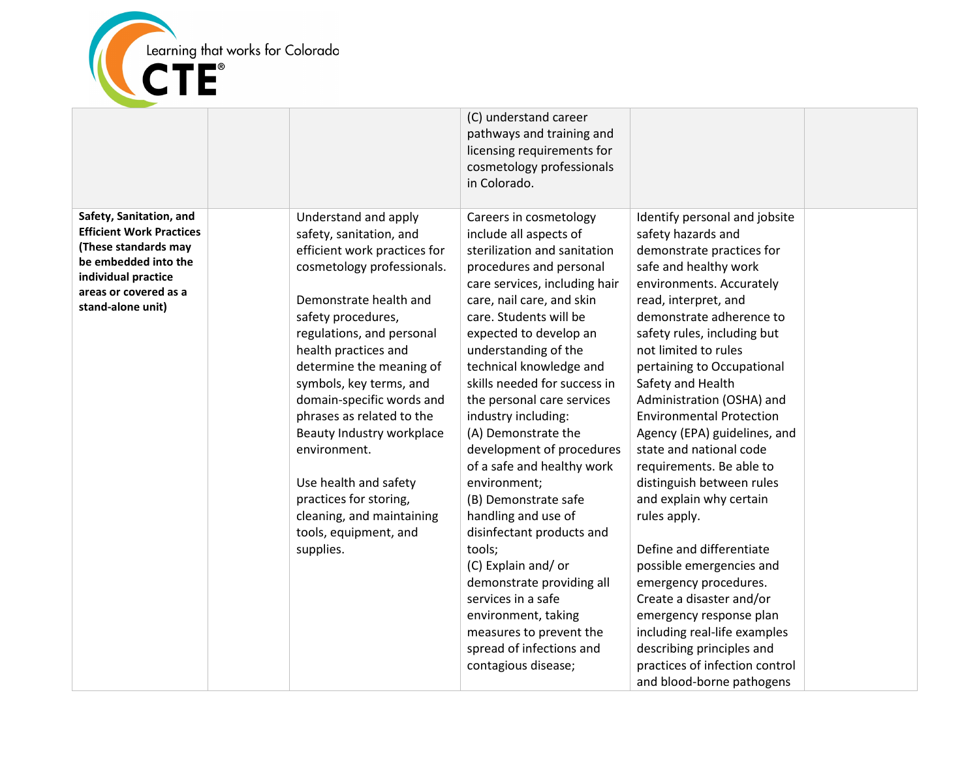

|                                                                                                                                                                                 |                                                                                                                                                                                                                                                                                                                                                                                                                                                                                                        | (C) understand career<br>pathways and training and<br>licensing requirements for<br>cosmetology professionals<br>in Colorado.                                                                                                                                                                                                                                                                                                                                                                                                                                                                                                                                                                                                               |                                                                                                                                                                                                                                                                                                                                                                                                                                                                                                                                                                                                                                                                                                                                                                                                        |  |
|---------------------------------------------------------------------------------------------------------------------------------------------------------------------------------|--------------------------------------------------------------------------------------------------------------------------------------------------------------------------------------------------------------------------------------------------------------------------------------------------------------------------------------------------------------------------------------------------------------------------------------------------------------------------------------------------------|---------------------------------------------------------------------------------------------------------------------------------------------------------------------------------------------------------------------------------------------------------------------------------------------------------------------------------------------------------------------------------------------------------------------------------------------------------------------------------------------------------------------------------------------------------------------------------------------------------------------------------------------------------------------------------------------------------------------------------------------|--------------------------------------------------------------------------------------------------------------------------------------------------------------------------------------------------------------------------------------------------------------------------------------------------------------------------------------------------------------------------------------------------------------------------------------------------------------------------------------------------------------------------------------------------------------------------------------------------------------------------------------------------------------------------------------------------------------------------------------------------------------------------------------------------------|--|
| Safety, Sanitation, and<br><b>Efficient Work Practices</b><br>(These standards may<br>be embedded into the<br>individual practice<br>areas or covered as a<br>stand-alone unit) | Understand and apply<br>safety, sanitation, and<br>efficient work practices for<br>cosmetology professionals.<br>Demonstrate health and<br>safety procedures,<br>regulations, and personal<br>health practices and<br>determine the meaning of<br>symbols, key terms, and<br>domain-specific words and<br>phrases as related to the<br>Beauty Industry workplace<br>environment.<br>Use health and safety<br>practices for storing,<br>cleaning, and maintaining<br>tools, equipment, and<br>supplies. | Careers in cosmetology<br>include all aspects of<br>sterilization and sanitation<br>procedures and personal<br>care services, including hair<br>care, nail care, and skin<br>care. Students will be<br>expected to develop an<br>understanding of the<br>technical knowledge and<br>skills needed for success in<br>the personal care services<br>industry including:<br>(A) Demonstrate the<br>development of procedures<br>of a safe and healthy work<br>environment;<br>(B) Demonstrate safe<br>handling and use of<br>disinfectant products and<br>tools;<br>(C) Explain and/or<br>demonstrate providing all<br>services in a safe<br>environment, taking<br>measures to prevent the<br>spread of infections and<br>contagious disease; | Identify personal and jobsite<br>safety hazards and<br>demonstrate practices for<br>safe and healthy work<br>environments. Accurately<br>read, interpret, and<br>demonstrate adherence to<br>safety rules, including but<br>not limited to rules<br>pertaining to Occupational<br>Safety and Health<br>Administration (OSHA) and<br><b>Environmental Protection</b><br>Agency (EPA) guidelines, and<br>state and national code<br>requirements. Be able to<br>distinguish between rules<br>and explain why certain<br>rules apply.<br>Define and differentiate<br>possible emergencies and<br>emergency procedures.<br>Create a disaster and/or<br>emergency response plan<br>including real-life examples<br>describing principles and<br>practices of infection control<br>and blood-borne pathogens |  |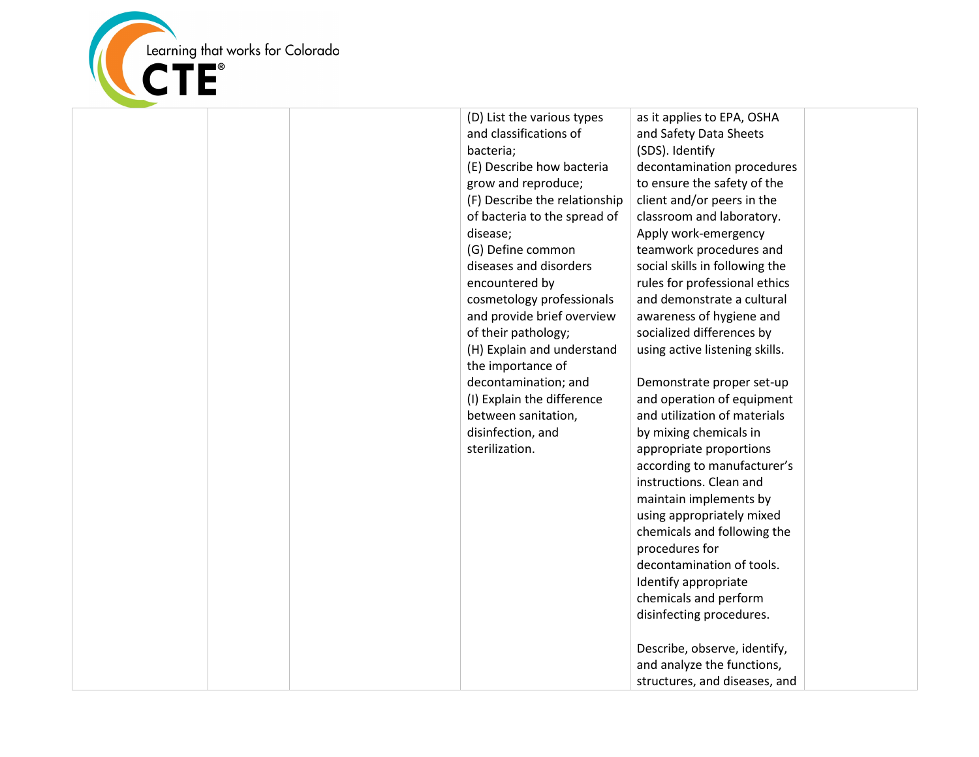

| (D) List the various types<br>and classifications of<br>bacteria;<br>(E) Describe how bacteria<br>grow and reproduce;<br>(F) Describe the relationship<br>of bacteria to the spread of<br>disease;<br>(G) Define common<br>diseases and disorders<br>encountered by<br>cosmetology professionals<br>and provide brief overview<br>of their pathology;<br>(H) Explain and understand<br>the importance of<br>decontamination; and<br>(I) Explain the difference<br>between sanitation,<br>disinfection, and<br>sterilization. | as it applies to EPA, OSHA<br>and Safety Data Sheets<br>(SDS). Identify<br>decontamination procedures<br>to ensure the safety of the<br>client and/or peers in the<br>classroom and laboratory.<br>Apply work-emergency<br>teamwork procedures and<br>social skills in following the<br>rules for professional ethics<br>and demonstrate a cultural<br>awareness of hygiene and<br>socialized differences by<br>using active listening skills.<br>Demonstrate proper set-up<br>and operation of equipment<br>and utilization of materials<br>by mixing chemicals in<br>appropriate proportions<br>according to manufacturer's<br>instructions. Clean and<br>maintain implements by<br>using appropriately mixed<br>chemicals and following the<br>procedures for<br>decontamination of tools.<br>Identify appropriate<br>chemicals and perform<br>disinfecting procedures. |
|------------------------------------------------------------------------------------------------------------------------------------------------------------------------------------------------------------------------------------------------------------------------------------------------------------------------------------------------------------------------------------------------------------------------------------------------------------------------------------------------------------------------------|----------------------------------------------------------------------------------------------------------------------------------------------------------------------------------------------------------------------------------------------------------------------------------------------------------------------------------------------------------------------------------------------------------------------------------------------------------------------------------------------------------------------------------------------------------------------------------------------------------------------------------------------------------------------------------------------------------------------------------------------------------------------------------------------------------------------------------------------------------------------------|
|                                                                                                                                                                                                                                                                                                                                                                                                                                                                                                                              |                                                                                                                                                                                                                                                                                                                                                                                                                                                                                                                                                                                                                                                                                                                                                                                                                                                                            |
|                                                                                                                                                                                                                                                                                                                                                                                                                                                                                                                              | Describe, observe, identify,<br>and analyze the functions,<br>structures, and diseases, and                                                                                                                                                                                                                                                                                                                                                                                                                                                                                                                                                                                                                                                                                                                                                                                |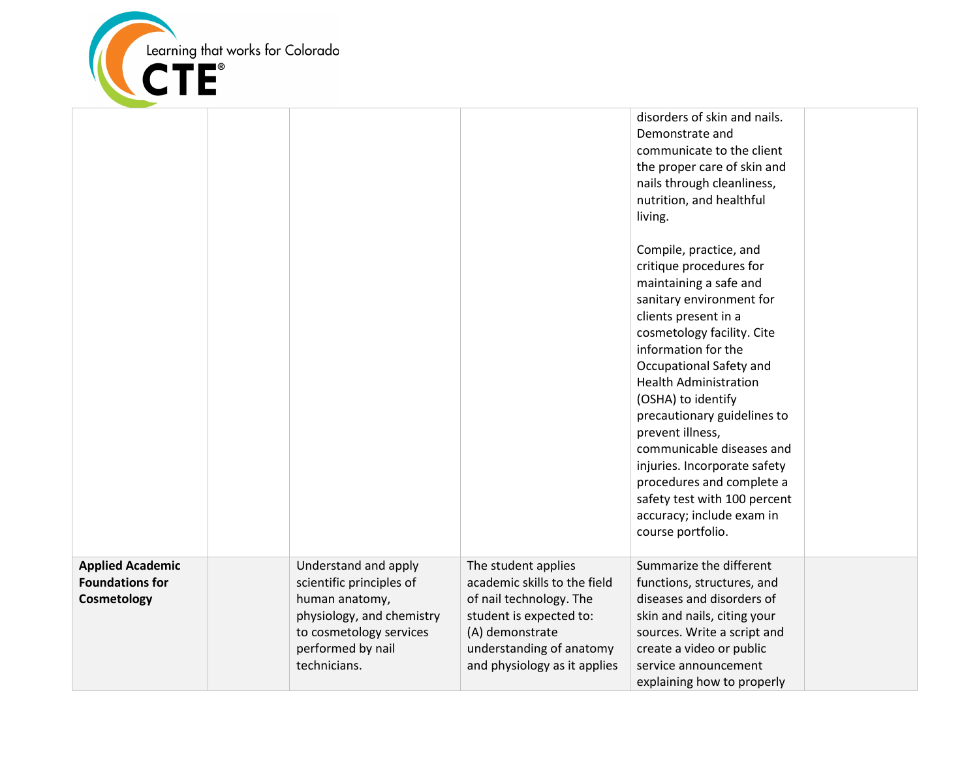

|                                                                  |                                                                                                                                                                 |                                                                                                                                                                                          | disorders of skin and nails.<br>Demonstrate and<br>communicate to the client<br>the proper care of skin and<br>nails through cleanliness,<br>nutrition, and healthful<br>living.<br>Compile, practice, and<br>critique procedures for<br>maintaining a safe and<br>sanitary environment for<br>clients present in a<br>cosmetology facility. Cite<br>information for the<br>Occupational Safety and<br><b>Health Administration</b><br>(OSHA) to identify<br>precautionary guidelines to<br>prevent illness,<br>communicable diseases and<br>injuries. Incorporate safety<br>procedures and complete a<br>safety test with 100 percent<br>accuracy; include exam in<br>course portfolio. |  |
|------------------------------------------------------------------|-----------------------------------------------------------------------------------------------------------------------------------------------------------------|------------------------------------------------------------------------------------------------------------------------------------------------------------------------------------------|------------------------------------------------------------------------------------------------------------------------------------------------------------------------------------------------------------------------------------------------------------------------------------------------------------------------------------------------------------------------------------------------------------------------------------------------------------------------------------------------------------------------------------------------------------------------------------------------------------------------------------------------------------------------------------------|--|
| <b>Applied Academic</b><br><b>Foundations for</b><br>Cosmetology | Understand and apply<br>scientific principles of<br>human anatomy,<br>physiology, and chemistry<br>to cosmetology services<br>performed by nail<br>technicians. | The student applies<br>academic skills to the field<br>of nail technology. The<br>student is expected to:<br>(A) demonstrate<br>understanding of anatomy<br>and physiology as it applies | Summarize the different<br>functions, structures, and<br>diseases and disorders of<br>skin and nails, citing your<br>sources. Write a script and<br>create a video or public<br>service announcement<br>explaining how to properly                                                                                                                                                                                                                                                                                                                                                                                                                                                       |  |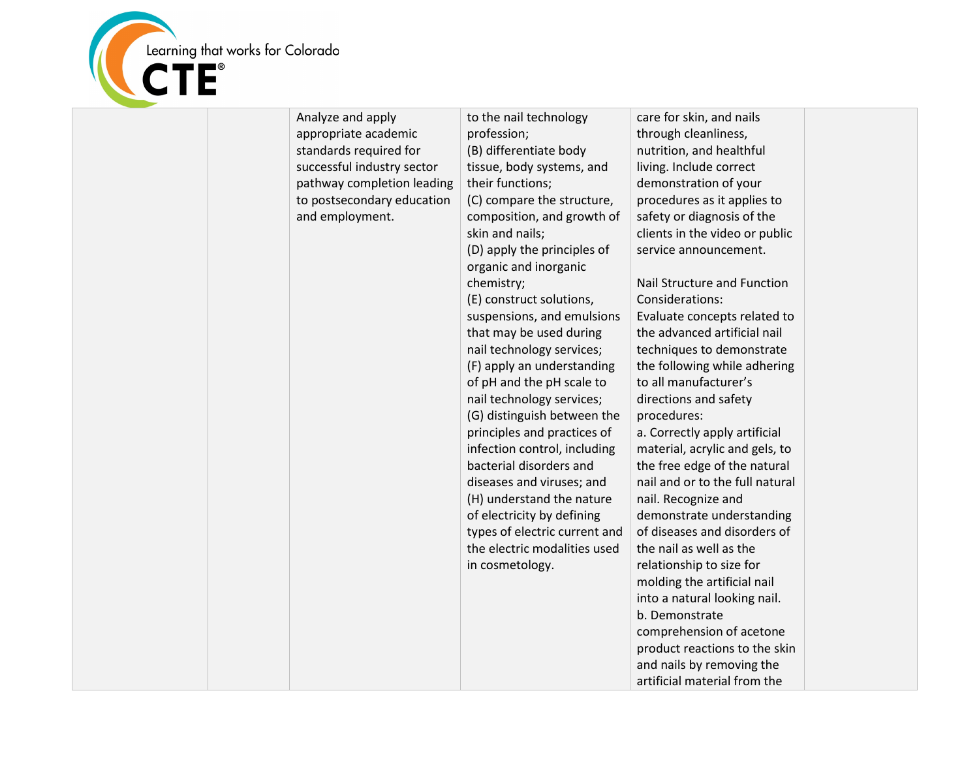

| Analyze and apply          | to the nail technology        | care for skin, and nails                                       |  |
|----------------------------|-------------------------------|----------------------------------------------------------------|--|
| appropriate academic       | profession;                   | through cleanliness,                                           |  |
| standards required for     | (B) differentiate body        | nutrition, and healthful                                       |  |
| successful industry sector | tissue, body systems, and     | living. Include correct                                        |  |
| pathway completion leading | their functions;              | demonstration of your                                          |  |
| to postsecondary education | (C) compare the structure,    | procedures as it applies to                                    |  |
| and employment.            | composition, and growth of    | safety or diagnosis of the                                     |  |
|                            | skin and nails;               | clients in the video or public                                 |  |
|                            | (D) apply the principles of   | service announcement.                                          |  |
|                            | organic and inorganic         |                                                                |  |
|                            | chemistry;                    | Nail Structure and Function                                    |  |
|                            | (E) construct solutions,      | Considerations:                                                |  |
|                            | suspensions, and emulsions    | Evaluate concepts related to                                   |  |
|                            | that may be used during       | the advanced artificial nail                                   |  |
|                            | nail technology services;     | techniques to demonstrate                                      |  |
|                            | (F) apply an understanding    | the following while adhering                                   |  |
|                            | of pH and the pH scale to     | to all manufacturer's                                          |  |
|                            | nail technology services;     | directions and safety                                          |  |
|                            | (G) distinguish between the   | procedures:                                                    |  |
|                            | principles and practices of   | a. Correctly apply artificial                                  |  |
|                            | infection control, including  |                                                                |  |
|                            | bacterial disorders and       | material, acrylic and gels, to<br>the free edge of the natural |  |
|                            |                               |                                                                |  |
|                            | diseases and viruses; and     | nail and or to the full natural                                |  |
|                            | (H) understand the nature     | nail. Recognize and                                            |  |
|                            | of electricity by defining    | demonstrate understanding                                      |  |
|                            | types of electric current and | of diseases and disorders of                                   |  |
|                            | the electric modalities used  | the nail as well as the                                        |  |
|                            | in cosmetology.               | relationship to size for                                       |  |
|                            |                               | molding the artificial nail                                    |  |
|                            |                               | into a natural looking nail.                                   |  |
|                            |                               | b. Demonstrate                                                 |  |
|                            |                               | comprehension of acetone                                       |  |
|                            |                               | product reactions to the skin                                  |  |
|                            |                               | and nails by removing the                                      |  |
|                            |                               | artificial material from the                                   |  |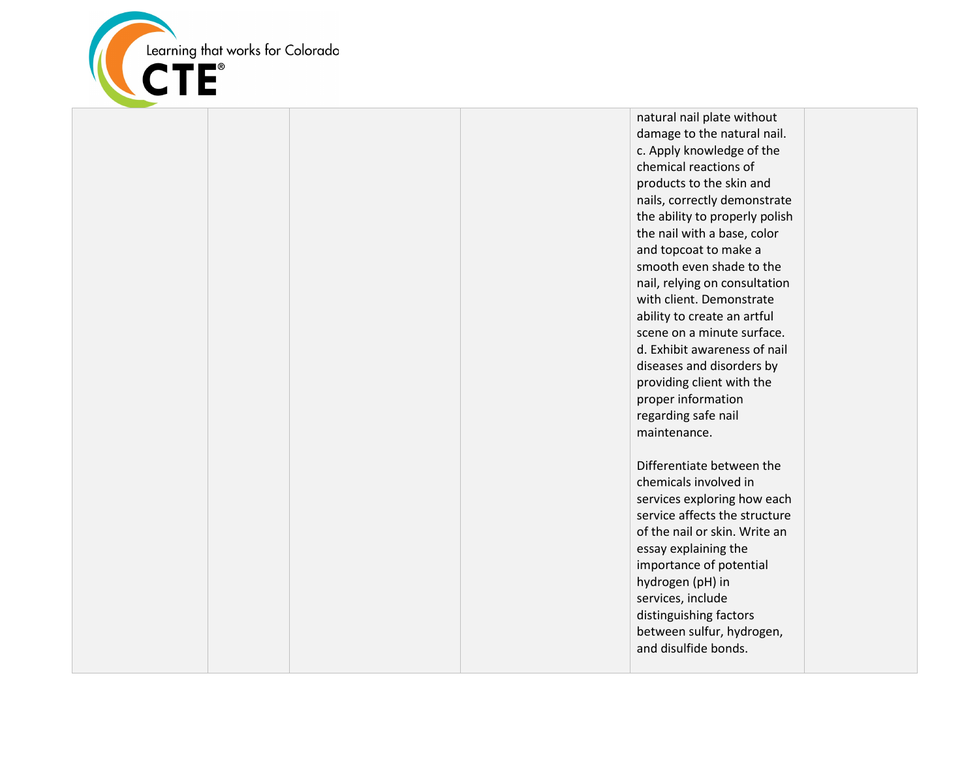

natural nail plate without damage to the natural nail. c. Apply knowledge of the chemical reactions of products to the skin and nails, correctly demonstrate the ability to properly polish the nail with a base, color and topcoat to make a smooth even shade to the nail, relying on consultation with client. Demonstrate ability to create an artful scene on a minute surface. d. Exhibit awareness of nail diseases and disorders by providing client with the proper information regarding safe nail maintenance.

Differentiate between the chemicals involved in services exploring how each service affects the structure of the nail or skin. Write an essay explaining the importance of potential hydrogen (pH) in services, include distinguishing factors between sulfur, hydrogen, and disulfide bonds.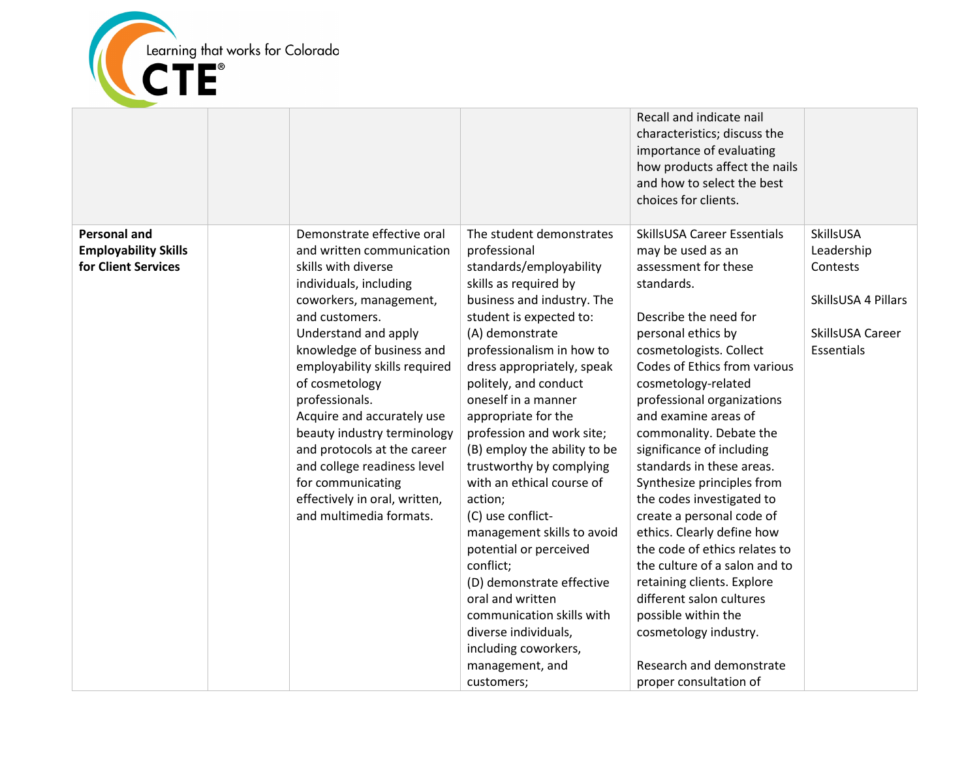

|                             |                                                            |                                                           | Recall and indicate nail<br>characteristics; discuss the<br>importance of evaluating<br>how products affect the nails<br>and how to select the best<br>choices for clients. |                     |
|-----------------------------|------------------------------------------------------------|-----------------------------------------------------------|-----------------------------------------------------------------------------------------------------------------------------------------------------------------------------|---------------------|
| <b>Personal and</b>         | Demonstrate effective oral                                 | The student demonstrates                                  | SkillsUSA Career Essentials                                                                                                                                                 | SkillsUSA           |
| <b>Employability Skills</b> | and written communication                                  | professional                                              | may be used as an                                                                                                                                                           | Leadership          |
| for Client Services         | skills with diverse<br>individuals, including              | standards/employability<br>skills as required by          | assessment for these<br>standards.                                                                                                                                          | Contests            |
|                             | coworkers, management,                                     | business and industry. The                                |                                                                                                                                                                             | SkillsUSA 4 Pillars |
|                             | and customers.                                             | student is expected to:                                   | Describe the need for                                                                                                                                                       |                     |
|                             | Understand and apply                                       | (A) demonstrate                                           | personal ethics by                                                                                                                                                          | SkillsUSA Career    |
|                             | knowledge of business and                                  | professionalism in how to                                 | cosmetologists. Collect                                                                                                                                                     | Essentials          |
|                             | employability skills required                              | dress appropriately, speak                                | Codes of Ethics from various                                                                                                                                                |                     |
|                             | of cosmetology                                             | politely, and conduct                                     | cosmetology-related                                                                                                                                                         |                     |
|                             | professionals.                                             | oneself in a manner                                       | professional organizations                                                                                                                                                  |                     |
|                             | Acquire and accurately use                                 | appropriate for the                                       | and examine areas of                                                                                                                                                        |                     |
|                             | beauty industry terminology<br>and protocols at the career | profession and work site;<br>(B) employ the ability to be | commonality. Debate the<br>significance of including                                                                                                                        |                     |
|                             | and college readiness level                                | trustworthy by complying                                  | standards in these areas.                                                                                                                                                   |                     |
|                             | for communicating                                          | with an ethical course of                                 | Synthesize principles from                                                                                                                                                  |                     |
|                             | effectively in oral, written,                              | action;                                                   | the codes investigated to                                                                                                                                                   |                     |
|                             | and multimedia formats.                                    | (C) use conflict-                                         | create a personal code of                                                                                                                                                   |                     |
|                             |                                                            | management skills to avoid                                | ethics. Clearly define how                                                                                                                                                  |                     |
|                             |                                                            | potential or perceived                                    | the code of ethics relates to                                                                                                                                               |                     |
|                             |                                                            | conflict;                                                 | the culture of a salon and to                                                                                                                                               |                     |
|                             |                                                            | (D) demonstrate effective                                 | retaining clients. Explore                                                                                                                                                  |                     |
|                             |                                                            | oral and written                                          | different salon cultures                                                                                                                                                    |                     |
|                             |                                                            | communication skills with                                 | possible within the                                                                                                                                                         |                     |
|                             |                                                            | diverse individuals,                                      | cosmetology industry.                                                                                                                                                       |                     |
|                             |                                                            | including coworkers,                                      | Research and demonstrate                                                                                                                                                    |                     |
|                             |                                                            | management, and<br>customers;                             | proper consultation of                                                                                                                                                      |                     |
|                             |                                                            |                                                           |                                                                                                                                                                             |                     |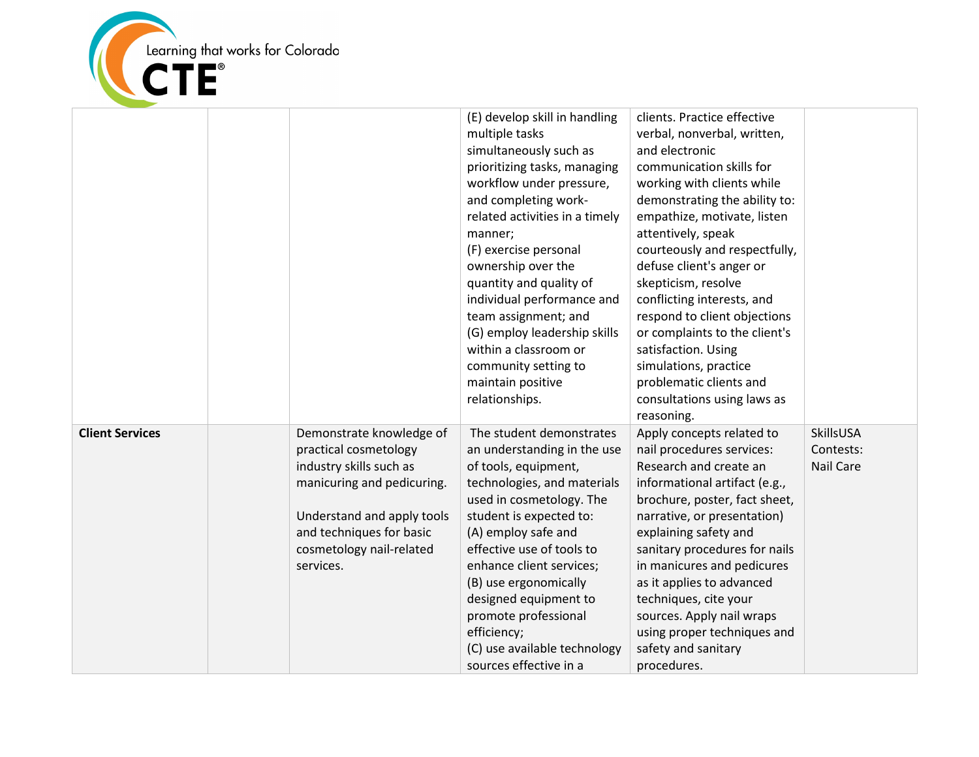

|                        |                                                                                                                                                                                                               | (E) develop skill in handling<br>multiple tasks<br>simultaneously such as<br>prioritizing tasks, managing<br>workflow under pressure,<br>and completing work-<br>related activities in a timely<br>manner;<br>(F) exercise personal<br>ownership over the<br>quantity and quality of<br>individual performance and<br>team assignment; and<br>(G) employ leadership skills<br>within a classroom or<br>community setting to<br>maintain positive<br>relationships. | clients. Practice effective<br>verbal, nonverbal, written,<br>and electronic<br>communication skills for<br>working with clients while<br>demonstrating the ability to:<br>empathize, motivate, listen<br>attentively, speak<br>courteously and respectfully,<br>defuse client's anger or<br>skepticism, resolve<br>conflicting interests, and<br>respond to client objections<br>or complaints to the client's<br>satisfaction. Using<br>simulations, practice<br>problematic clients and<br>consultations using laws as<br>reasoning. |                                     |
|------------------------|---------------------------------------------------------------------------------------------------------------------------------------------------------------------------------------------------------------|--------------------------------------------------------------------------------------------------------------------------------------------------------------------------------------------------------------------------------------------------------------------------------------------------------------------------------------------------------------------------------------------------------------------------------------------------------------------|-----------------------------------------------------------------------------------------------------------------------------------------------------------------------------------------------------------------------------------------------------------------------------------------------------------------------------------------------------------------------------------------------------------------------------------------------------------------------------------------------------------------------------------------|-------------------------------------|
| <b>Client Services</b> | Demonstrate knowledge of<br>practical cosmetology<br>industry skills such as<br>manicuring and pedicuring.<br>Understand and apply tools<br>and techniques for basic<br>cosmetology nail-related<br>services. | The student demonstrates<br>an understanding in the use<br>of tools, equipment,<br>technologies, and materials<br>used in cosmetology. The<br>student is expected to:<br>(A) employ safe and<br>effective use of tools to<br>enhance client services;<br>(B) use ergonomically<br>designed equipment to<br>promote professional<br>efficiency;<br>(C) use available technology<br>sources effective in a                                                           | Apply concepts related to<br>nail procedures services:<br>Research and create an<br>informational artifact (e.g.,<br>brochure, poster, fact sheet,<br>narrative, or presentation)<br>explaining safety and<br>sanitary procedures for nails<br>in manicures and pedicures<br>as it applies to advanced<br>techniques, cite your<br>sources. Apply nail wraps<br>using proper techniques and<br>safety and sanitary<br>procedures.                                                                                                       | SkillsUSA<br>Contests:<br>Nail Care |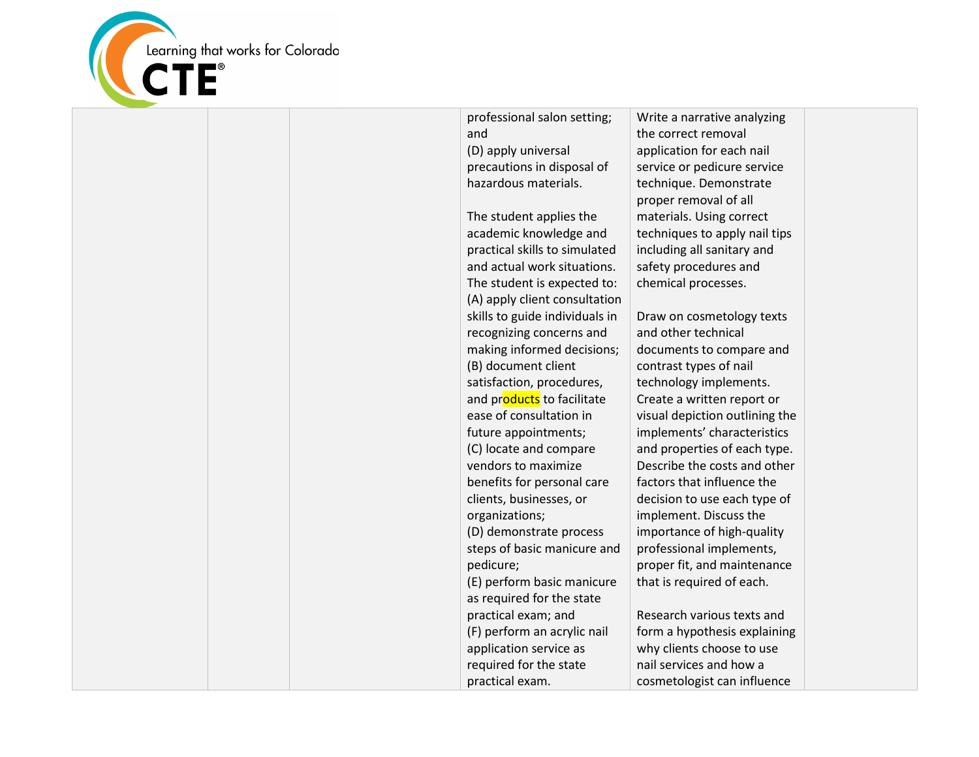

professional salon setting; and (D) apply universal precautions in disposal of hazardous materials. The student applies the academic knowledge and practical skills to simulated and actual work situations. The student is expected to: (A) apply client consultation skills to guide individuals in recognizing concerns and making informed decisions; (B) document client satisfaction, procedures, and products to facilitate ease of consultation in future appointments; (C) locate and compare vendors to maximize benefits for personal care clients, businesses, or organizations; (D) demonstrate process steps of basic manicure and pedicure; (E) perform basic manicure as required for the state practical exam; and (F) perform an acrylic nail application service as required for the state practical exam.

Write a narrative analyzing the correct removal application for each nail service or pedicure service technique. Demonstrate proper removal of all materials. Using correct techniques to apply nail tips including all sanitary and safety procedures and chemical processes.

Draw on cosmetology texts and other technical documents to compare and contrast types of nail technology implements. Create a written report or visual depiction outlining the implements' characteristics and properties of each type. Describe the costs and other factors that influence the decision to use each type of implement. Discuss the importance of high-quality professional implements, proper fit, and maintenance that is required of each.

Research various texts and form a hypothesis explaining why clients choose to use nail services and how a cosmetologist can influence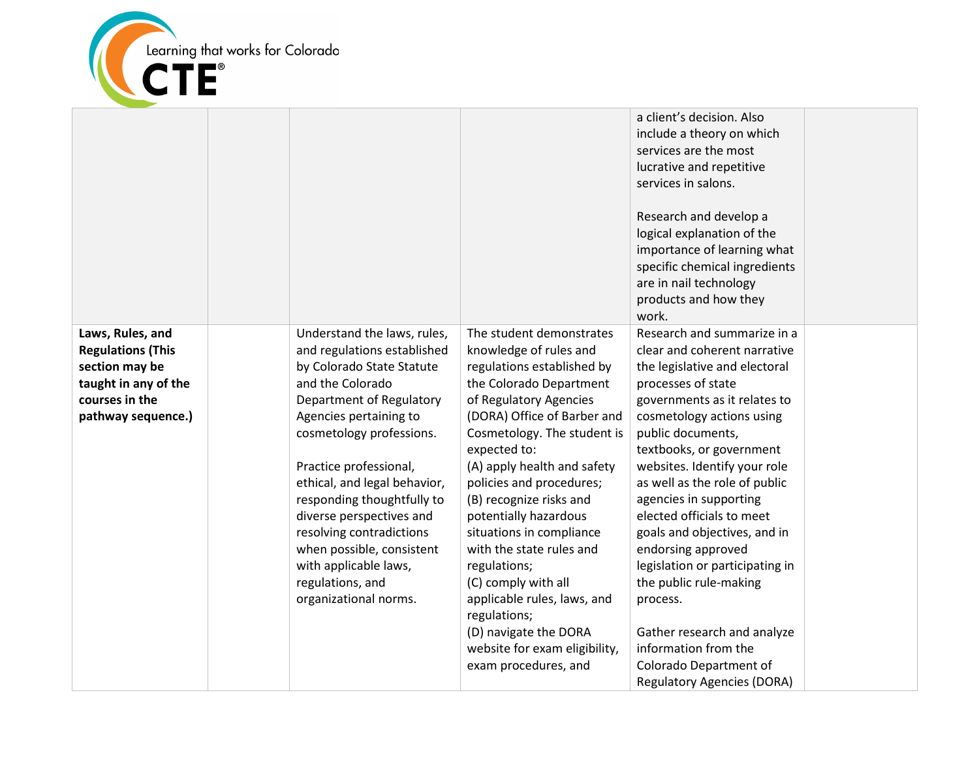

|                                                                                                                                |                                                                                                                                                                                                                                                                                                                                                                                                                                                  |                                                                                                                                                                                                                                                                                                                                                                                                                                                                                                                                                                    | a client's decision. Also<br>include a theory on which<br>services are the most<br>lucrative and repetitive<br>services in salons.<br>Research and develop a<br>logical explanation of the<br>importance of learning what<br>specific chemical ingredients<br>are in nail technology<br>products and how they<br>work.                                                                                                                                                                                                                                                                                        |  |
|--------------------------------------------------------------------------------------------------------------------------------|--------------------------------------------------------------------------------------------------------------------------------------------------------------------------------------------------------------------------------------------------------------------------------------------------------------------------------------------------------------------------------------------------------------------------------------------------|--------------------------------------------------------------------------------------------------------------------------------------------------------------------------------------------------------------------------------------------------------------------------------------------------------------------------------------------------------------------------------------------------------------------------------------------------------------------------------------------------------------------------------------------------------------------|---------------------------------------------------------------------------------------------------------------------------------------------------------------------------------------------------------------------------------------------------------------------------------------------------------------------------------------------------------------------------------------------------------------------------------------------------------------------------------------------------------------------------------------------------------------------------------------------------------------|--|
| Laws, Rules, and<br><b>Regulations (This</b><br>section may be<br>taught in any of the<br>courses in the<br>pathway sequence.) | Understand the laws, rules,<br>and regulations established<br>by Colorado State Statute<br>and the Colorado<br>Department of Regulatory<br>Agencies pertaining to<br>cosmetology professions.<br>Practice professional,<br>ethical, and legal behavior,<br>responding thoughtfully to<br>diverse perspectives and<br>resolving contradictions<br>when possible, consistent<br>with applicable laws,<br>regulations, and<br>organizational norms. | The student demonstrates<br>knowledge of rules and<br>regulations established by<br>the Colorado Department<br>of Regulatory Agencies<br>(DORA) Office of Barber and<br>Cosmetology. The student is<br>expected to:<br>(A) apply health and safety<br>policies and procedures;<br>(B) recognize risks and<br>potentially hazardous<br>situations in compliance<br>with the state rules and<br>regulations;<br>(C) comply with all<br>applicable rules, laws, and<br>regulations;<br>(D) navigate the DORA<br>website for exam eligibility,<br>exam procedures, and | Research and summarize in a<br>clear and coherent narrative<br>the legislative and electoral<br>processes of state<br>governments as it relates to<br>cosmetology actions using<br>public documents,<br>textbooks, or government<br>websites. Identify your role<br>as well as the role of public<br>agencies in supporting<br>elected officials to meet<br>goals and objectives, and in<br>endorsing approved<br>legislation or participating in<br>the public rule-making<br>process.<br>Gather research and analyze<br>information from the<br>Colorado Department of<br><b>Regulatory Agencies (DORA)</b> |  |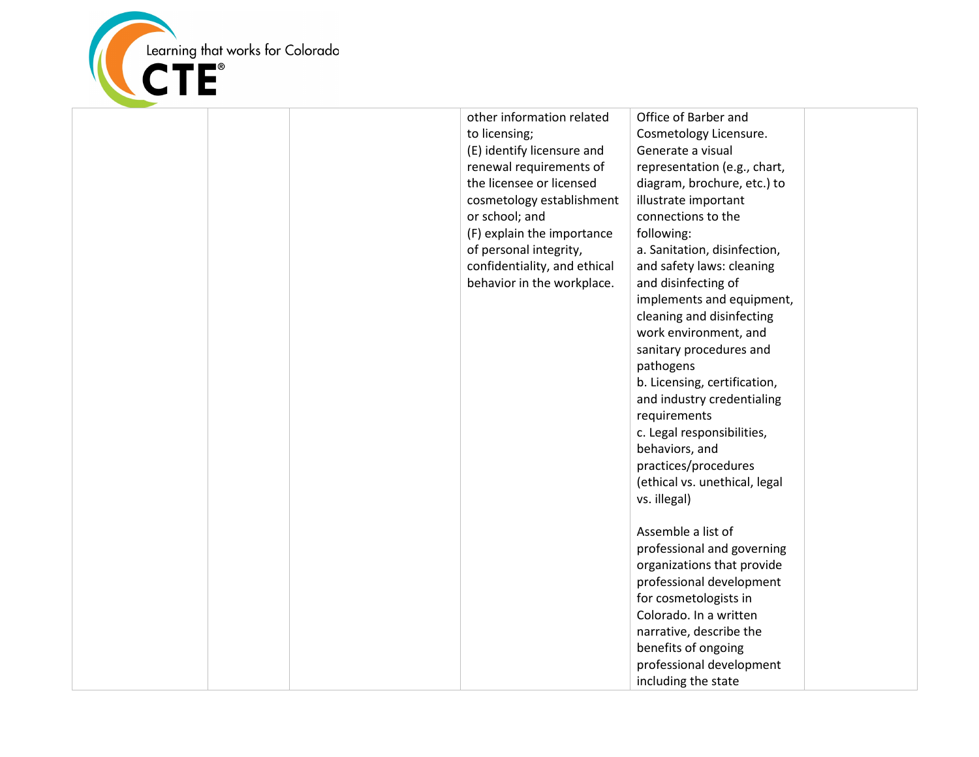

| other information related<br>to licensing;<br>(E) identify licensure and<br>renewal requirements of<br>the licensee or licensed<br>cosmetology establishment<br>or school; and<br>(F) explain the importance<br>of personal integrity,<br>confidentiality, and ethical<br>behavior in the workplace. | Office of Barber and<br>Cosmetology Licensure.<br>Generate a visual<br>representation (e.g., chart,<br>diagram, brochure, etc.) to<br>illustrate important<br>connections to the<br>following:<br>a. Sanitation, disinfection,<br>and safety laws: cleaning<br>and disinfecting of<br>implements and equipment,<br>cleaning and disinfecting<br>work environment, and<br>sanitary procedures and<br>pathogens<br>b. Licensing, certification,<br>and industry credentialing<br>requirements<br>c. Legal responsibilities,<br>behaviors, and<br>practices/procedures<br>(ethical vs. unethical, legal<br>vs. illegal)<br>Assemble a list of<br>professional and governing<br>organizations that provide<br>professional development<br>for cosmetologists in<br>Colorado. In a written<br>narrative, describe the<br>benefits of ongoing<br>professional development<br>including the state |  |
|------------------------------------------------------------------------------------------------------------------------------------------------------------------------------------------------------------------------------------------------------------------------------------------------------|--------------------------------------------------------------------------------------------------------------------------------------------------------------------------------------------------------------------------------------------------------------------------------------------------------------------------------------------------------------------------------------------------------------------------------------------------------------------------------------------------------------------------------------------------------------------------------------------------------------------------------------------------------------------------------------------------------------------------------------------------------------------------------------------------------------------------------------------------------------------------------------------|--|